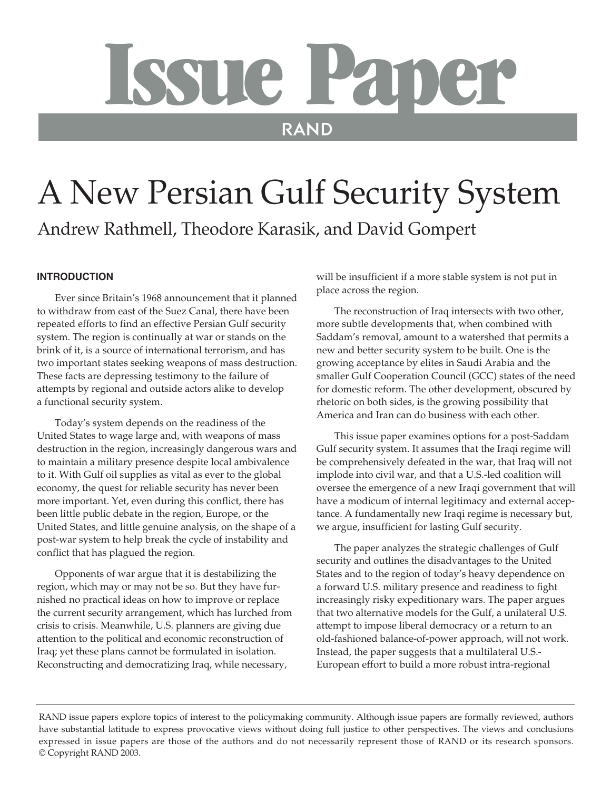# Issue Paper

# A New Persian Gulf Security System

Andrew Rathmell, Theodore Karasik, and David Gompert

# **INTRODUCTION**

Ever since Britain's 1968 announcement that it planned to withdraw from east of the Suez Canal, there have been repeated efforts to find an effective Persian Gulf security system. The region is continually at war or stands on the brink of it, is a source of international terrorism, and has two important states seeking weapons of mass destruction. These facts are depressing testimony to the failure of attempts by regional and outside actors alike to develop a functional security system.

Today's system depends on the readiness of the United States to wage large and, with weapons of mass destruction in the region, increasingly dangerous wars and to maintain a military presence despite local ambivalence to it. With Gulf oil supplies as vital as ever to the global economy, the quest for reliable security has never been more important. Yet, even during this conflict, there has been little public debate in the region, Europe, or the United States, and little genuine analysis, on the shape of a post-war system to help break the cycle of instability and conflict that has plagued the region.

Opponents of war argue that it is destabilizing the region, which may or may not be so. But they have furnished no practical ideas on how to improve or replace the current security arrangement, which has lurched from crisis to crisis. Meanwhile, U.S. planners are giving due attention to the political and economic reconstruction of Iraq; yet these plans cannot be formulated in isolation. Reconstructing and democratizing Iraq, while necessary,

will be insufficient if a more stable system is not put in place across the region.

The reconstruction of Iraq intersects with two other, more subtle developments that, when combined with Saddam's removal, amount to a watershed that permits a new and better security system to be built. One is the growing acceptance by elites in Saudi Arabia and the smaller Gulf Cooperation Council (GCC) states of the need for domestic reform. The other development, obscured by rhetoric on both sides, is the growing possibility that America and Iran can do business with each other.

This issue paper examines options for a post-Saddam Gulf security system. It assumes that the Iraqi regime will be comprehensively defeated in the war, that Iraq will not implode into civil war, and that a U.S.-led coalition will oversee the emergence of a new Iraqi government that will have a modicum of internal legitimacy and external acceptance. A fundamentally new Iraqi regime is necessary but, we argue, insufficient for lasting Gulf security.

The paper analyzes the strategic challenges of Gulf security and outlines the disadvantages to the United States and to the region of today's heavy dependence on a forward U.S. military presence and readiness to fight increasingly risky expeditionary wars. The paper argues that two alternative models for the Gulf, a unilateral U.S. attempt to impose liberal democracy or a return to an old-fashioned balance-of-power approach, will not work. Instead, the paper suggests that a multilateral U.S.- European effort to build a more robust intra-regional

RAND issue papers explore topics of interest to the policymaking community. Although issue papers are formally reviewed, authors have substantial latitude to express provocative views without doing full justice to other perspectives. The views and conclusions expressed in issue papers are those of the authors and do not necessarily represent those of RAND or its research sponsors. © Copyright RAND 2003.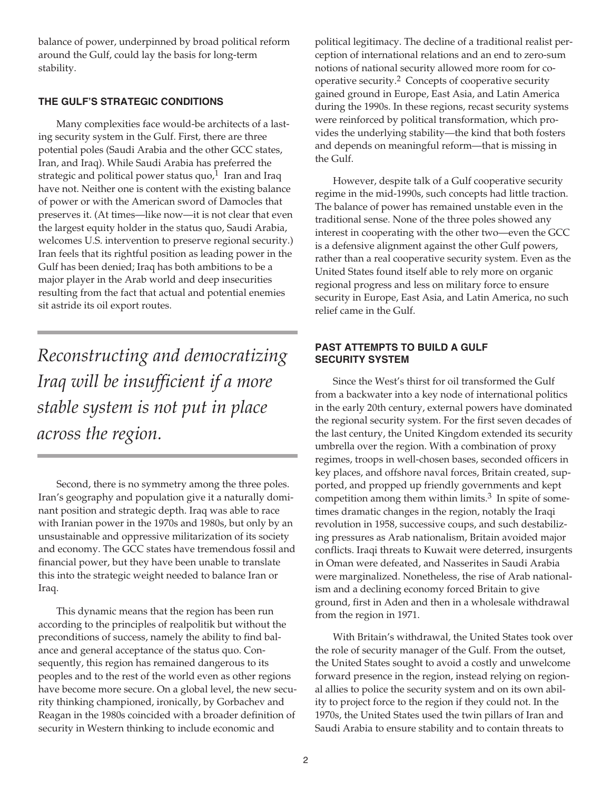balance of power, underpinned by broad political reform around the Gulf, could lay the basis for long-term stability.

# **THE GULF'S STRATEGIC CONDITIONS**

Many complexities face would-be architects of a lasting security system in the Gulf. First, there are three potential poles (Saudi Arabia and the other GCC states, Iran, and Iraq). While Saudi Arabia has preferred the strategic and political power status quo, $1$  Iran and Iraq have not. Neither one is content with the existing balance of power or with the American sword of Damocles that preserves it. (At times—like now—it is not clear that even the largest equity holder in the status quo, Saudi Arabia, welcomes U.S. intervention to preserve regional security.) Iran feels that its rightful position as leading power in the Gulf has been denied; Iraq has both ambitions to be a major player in the Arab world and deep insecurities resulting from the fact that actual and potential enemies sit astride its oil export routes.

*Reconstructing and democratizing Iraq will be insufficient if a more stable system is not put in place across the region.* 

Second, there is no symmetry among the three poles. Iran's geography and population give it a naturally dominant position and strategic depth. Iraq was able to race with Iranian power in the 1970s and 1980s, but only by an unsustainable and oppressive militarization of its society and economy. The GCC states have tremendous fossil and financial power, but they have been unable to translate this into the strategic weight needed to balance Iran or Iraq.

This dynamic means that the region has been run according to the principles of realpolitik but without the preconditions of success, namely the ability to find balance and general acceptance of the status quo. Consequently, this region has remained dangerous to its peoples and to the rest of the world even as other regions have become more secure. On a global level, the new security thinking championed, ironically, by Gorbachev and Reagan in the 1980s coincided with a broader definition of security in Western thinking to include economic and

political legitimacy. The decline of a traditional realist perception of international relations and an end to zero-sum notions of national security allowed more room for cooperative security.<sup>2</sup> Concepts of cooperative security gained ground in Europe, East Asia, and Latin America during the 1990s. In these regions, recast security systems were reinforced by political transformation, which provides the underlying stability—the kind that both fosters and depends on meaningful reform—that is missing in the Gulf.

However, despite talk of a Gulf cooperative security regime in the mid-1990s, such concepts had little traction. The balance of power has remained unstable even in the traditional sense. None of the three poles showed any interest in cooperating with the other two—even the GCC is a defensive alignment against the other Gulf powers, rather than a real cooperative security system. Even as the United States found itself able to rely more on organic regional progress and less on military force to ensure security in Europe, East Asia, and Latin America, no such relief came in the Gulf.

# **PAST ATTEMPTS TO BUILD A GULF SECURITY SYSTEM**

Since the West's thirst for oil transformed the Gulf from a backwater into a key node of international politics in the early 20th century, external powers have dominated the regional security system. For the first seven decades of the last century, the United Kingdom extended its security umbrella over the region. With a combination of proxy regimes, troops in well-chosen bases, seconded officers in key places, and offshore naval forces, Britain created, supported, and propped up friendly governments and kept competition among them within limits. $3$  In spite of sometimes dramatic changes in the region, notably the Iraqi revolution in 1958, successive coups, and such destabilizing pressures as Arab nationalism, Britain avoided major conflicts. Iraqi threats to Kuwait were deterred, insurgents in Oman were defeated, and Nasserites in Saudi Arabia were marginalized. Nonetheless, the rise of Arab nationalism and a declining economy forced Britain to give ground, first in Aden and then in a wholesale withdrawal from the region in 1971.

With Britain's withdrawal, the United States took over the role of security manager of the Gulf. From the outset, the United States sought to avoid a costly and unwelcome forward presence in the region, instead relying on regional allies to police the security system and on its own ability to project force to the region if they could not. In the 1970s, the United States used the twin pillars of Iran and Saudi Arabia to ensure stability and to contain threats to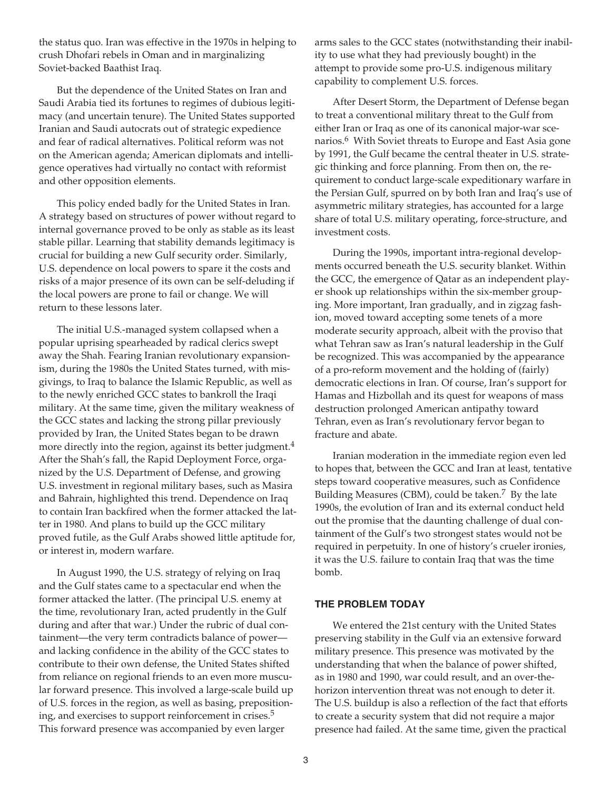the status quo. Iran was effective in the 1970s in helping to crush Dhofari rebels in Oman and in marginalizing Soviet-backed Baathist Iraq.

But the dependence of the United States on Iran and Saudi Arabia tied its fortunes to regimes of dubious legitimacy (and uncertain tenure). The United States supported Iranian and Saudi autocrats out of strategic expedience and fear of radical alternatives. Political reform was not on the American agenda; American diplomats and intelligence operatives had virtually no contact with reformist and other opposition elements.

This policy ended badly for the United States in Iran. A strategy based on structures of power without regard to internal governance proved to be only as stable as its least stable pillar. Learning that stability demands legitimacy is crucial for building a new Gulf security order. Similarly, U.S. dependence on local powers to spare it the costs and risks of a major presence of its own can be self-deluding if the local powers are prone to fail or change. We will return to these lessons later.

The initial U.S.-managed system collapsed when a popular uprising spearheaded by radical clerics swept away the Shah. Fearing Iranian revolutionary expansionism, during the 1980s the United States turned, with misgivings, to Iraq to balance the Islamic Republic, as well as to the newly enriched GCC states to bankroll the Iraqi military. At the same time, given the military weakness of the GCC states and lacking the strong pillar previously provided by Iran, the United States began to be drawn more directly into the region, against its better judgment.<sup>4</sup> After the Shah's fall, the Rapid Deployment Force, organized by the U.S. Department of Defense, and growing U.S. investment in regional military bases, such as Masira and Bahrain, highlighted this trend. Dependence on Iraq to contain Iran backfired when the former attacked the latter in 1980. And plans to build up the GCC military proved futile, as the Gulf Arabs showed little aptitude for, or interest in, modern warfare.

In August 1990, the U.S. strategy of relying on Iraq and the Gulf states came to a spectacular end when the former attacked the latter. (The principal U.S. enemy at the time, revolutionary Iran, acted prudently in the Gulf during and after that war.) Under the rubric of dual containment—the very term contradicts balance of power and lacking confidence in the ability of the GCC states to contribute to their own defense, the United States shifted from reliance on regional friends to an even more muscular forward presence. This involved a large-scale build up of U.S. forces in the region, as well as basing, prepositioning, and exercises to support reinforcement in crises.<sup>5</sup> This forward presence was accompanied by even larger

arms sales to the GCC states (notwithstanding their inability to use what they had previously bought) in the attempt to provide some pro-U.S. indigenous military capability to complement U.S. forces.

After Desert Storm, the Department of Defense began to treat a conventional military threat to the Gulf from either Iran or Iraq as one of its canonical major-war scenarios.<sup>6</sup> With Soviet threats to Europe and East Asia gone by 1991, the Gulf became the central theater in U.S. strategic thinking and force planning. From then on, the requirement to conduct large-scale expeditionary warfare in the Persian Gulf, spurred on by both Iran and Iraq's use of asymmetric military strategies, has accounted for a large share of total U.S. military operating, force-structure, and investment costs.

During the 1990s, important intra-regional developments occurred beneath the U.S. security blanket. Within the GCC, the emergence of Qatar as an independent player shook up relationships within the six-member grouping. More important, Iran gradually, and in zigzag fashion, moved toward accepting some tenets of a more moderate security approach, albeit with the proviso that what Tehran saw as Iran's natural leadership in the Gulf be recognized. This was accompanied by the appearance of a pro-reform movement and the holding of (fairly) democratic elections in Iran. Of course, Iran's support for Hamas and Hizbollah and its quest for weapons of mass destruction prolonged American antipathy toward Tehran, even as Iran's revolutionary fervor began to fracture and abate.

Iranian moderation in the immediate region even led to hopes that, between the GCC and Iran at least, tentative steps toward cooperative measures, such as Confidence Building Measures (CBM), could be taken.<sup>7</sup> By the late 1990s, the evolution of Iran and its external conduct held out the promise that the daunting challenge of dual containment of the Gulf's two strongest states would not be required in perpetuity. In one of history's crueler ironies, it was the U.S. failure to contain Iraq that was the time bomb.

# **THE PROBLEM TODAY**

We entered the 21st century with the United States preserving stability in the Gulf via an extensive forward military presence. This presence was motivated by the understanding that when the balance of power shifted, as in 1980 and 1990, war could result, and an over-thehorizon intervention threat was not enough to deter it. The U.S. buildup is also a reflection of the fact that efforts to create a security system that did not require a major presence had failed. At the same time, given the practical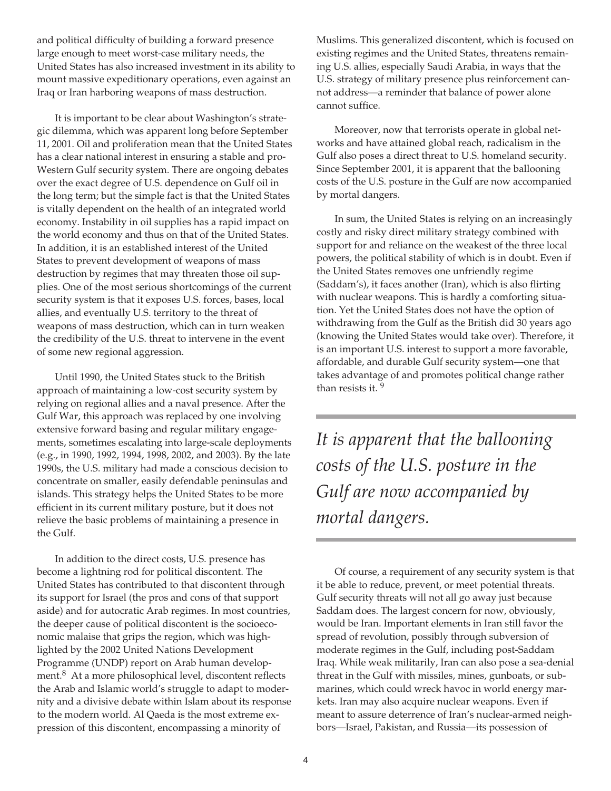and political difficulty of building a forward presence large enough to meet worst-case military needs, the United States has also increased investment in its ability to mount massive expeditionary operations, even against an Iraq or Iran harboring weapons of mass destruction.

It is important to be clear about Washington's strategic dilemma, which was apparent long before September 11, 2001. Oil and proliferation mean that the United States has a clear national interest in ensuring a stable and pro-Western Gulf security system. There are ongoing debates over the exact degree of U.S. dependence on Gulf oil in the long term; but the simple fact is that the United States is vitally dependent on the health of an integrated world economy. Instability in oil supplies has a rapid impact on the world economy and thus on that of the United States. In addition, it is an established interest of the United States to prevent development of weapons of mass destruction by regimes that may threaten those oil supplies. One of the most serious shortcomings of the current security system is that it exposes U.S. forces, bases, local allies, and eventually U.S. territory to the threat of weapons of mass destruction, which can in turn weaken the credibility of the U.S. threat to intervene in the event of some new regional aggression.

Until 1990, the United States stuck to the British approach of maintaining a low-cost security system by relying on regional allies and a naval presence. After the Gulf War, this approach was replaced by one involving extensive forward basing and regular military engagements, sometimes escalating into large-scale deployments (e.g., in 1990, 1992, 1994, 1998, 2002, and 2003). By the late 1990s, the U.S. military had made a conscious decision to concentrate on smaller, easily defendable peninsulas and islands. This strategy helps the United States to be more efficient in its current military posture, but it does not relieve the basic problems of maintaining a presence in the Gulf.

In addition to the direct costs, U.S. presence has become a lightning rod for political discontent. The United States has contributed to that discontent through its support for Israel (the pros and cons of that support aside) and for autocratic Arab regimes. In most countries, the deeper cause of political discontent is the socioeconomic malaise that grips the region, which was highlighted by the 2002 United Nations Development Programme (UNDP) report on Arab human development.<sup>8</sup> At a more philosophical level, discontent reflects the Arab and Islamic world's struggle to adapt to modernity and a divisive debate within Islam about its response to the modern world. Al Qaeda is the most extreme expression of this discontent, encompassing a minority of

Muslims. This generalized discontent, which is focused on existing regimes and the United States, threatens remaining U.S. allies, especially Saudi Arabia, in ways that the U.S. strategy of military presence plus reinforcement cannot address—a reminder that balance of power alone cannot suffice.

Moreover, now that terrorists operate in global networks and have attained global reach, radicalism in the Gulf also poses a direct threat to U.S. homeland security. Since September 2001, it is apparent that the ballooning costs of the U.S. posture in the Gulf are now accompanied by mortal dangers.

In sum, the United States is relying on an increasingly costly and risky direct military strategy combined with support for and reliance on the weakest of the three local powers, the political stability of which is in doubt. Even if the United States removes one unfriendly regime (Saddam's), it faces another (Iran), which is also flirting with nuclear weapons. This is hardly a comforting situation. Yet the United States does not have the option of withdrawing from the Gulf as the British did 30 years ago (knowing the United States would take over). Therefore, it is an important U.S. interest to support a more favorable, affordable, and durable Gulf security system—one that takes advantage of and promotes political change rather than resists it.<sup>9</sup>

*It is apparent that the ballooning costs of the U.S. posture in the Gulf are now accompanied by mortal dangers.* 

Of course, a requirement of any security system is that it be able to reduce, prevent, or meet potential threats. Gulf security threats will not all go away just because Saddam does. The largest concern for now, obviously, would be Iran. Important elements in Iran still favor the spread of revolution, possibly through subversion of moderate regimes in the Gulf, including post-Saddam Iraq. While weak militarily, Iran can also pose a sea-denial threat in the Gulf with missiles, mines, gunboats, or submarines, which could wreck havoc in world energy markets. Iran may also acquire nuclear weapons. Even if meant to assure deterrence of Iran's nuclear-armed neighbors—Israel, Pakistan, and Russia—its possession of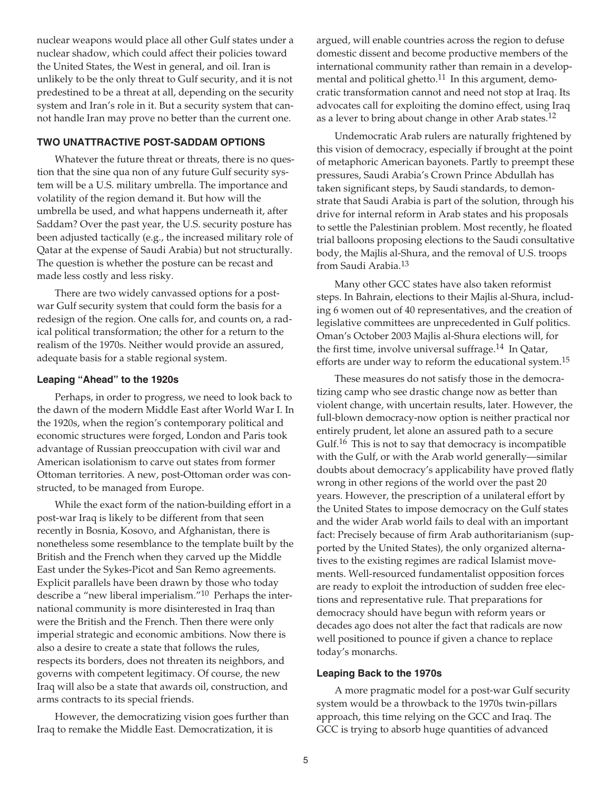nuclear weapons would place all other Gulf states under a nuclear shadow, which could affect their policies toward the United States, the West in general, and oil. Iran is unlikely to be the only threat to Gulf security, and it is not predestined to be a threat at all, depending on the security system and Iran's role in it. But a security system that cannot handle Iran may prove no better than the current one.

## **TWO UNATTRACTIVE POST-SADDAM OPTIONS**

Whatever the future threat or threats, there is no question that the sine qua non of any future Gulf security system will be a U.S. military umbrella. The importance and volatility of the region demand it. But how will the umbrella be used, and what happens underneath it, after Saddam? Over the past year, the U.S. security posture has been adjusted tactically (e.g., the increased military role of Qatar at the expense of Saudi Arabia) but not structurally. The question is whether the posture can be recast and made less costly and less risky.

There are two widely canvassed options for a postwar Gulf security system that could form the basis for a redesign of the region. One calls for, and counts on, a radical political transformation; the other for a return to the realism of the 1970s. Neither would provide an assured, adequate basis for a stable regional system.

#### **Leaping "Ahead" to the 1920s**

Perhaps, in order to progress, we need to look back to the dawn of the modern Middle East after World War I. In the 1920s, when the region's contemporary political and economic structures were forged, London and Paris took advantage of Russian preoccupation with civil war and American isolationism to carve out states from former Ottoman territories. A new, post-Ottoman order was constructed, to be managed from Europe.

While the exact form of the nation-building effort in a post-war Iraq is likely to be different from that seen recently in Bosnia, Kosovo, and Afghanistan, there is nonetheless some resemblance to the template built by the British and the French when they carved up the Middle East under the Sykes-Picot and San Remo agreements. Explicit parallels have been drawn by those who today describe a "new liberal imperialism."10 Perhaps the international community is more disinterested in Iraq than were the British and the French. Then there were only imperial strategic and economic ambitions. Now there is also a desire to create a state that follows the rules, respects its borders, does not threaten its neighbors, and governs with competent legitimacy. Of course, the new Iraq will also be a state that awards oil, construction, and arms contracts to its special friends.

However, the democratizing vision goes further than Iraq to remake the Middle East. Democratization, it is

argued, will enable countries across the region to defuse domestic dissent and become productive members of the international community rather than remain in a developmental and political ghetto. $11$  In this argument, democratic transformation cannot and need not stop at Iraq. Its advocates call for exploiting the domino effect, using Iraq as a lever to bring about change in other Arab states.12

Undemocratic Arab rulers are naturally frightened by this vision of democracy, especially if brought at the point of metaphoric American bayonets. Partly to preempt these pressures, Saudi Arabia's Crown Prince Abdullah has taken significant steps, by Saudi standards, to demonstrate that Saudi Arabia is part of the solution, through his drive for internal reform in Arab states and his proposals to settle the Palestinian problem. Most recently, he floated trial balloons proposing elections to the Saudi consultative body, the Majlis al-Shura, and the removal of U.S. troops from Saudi Arabia.13

Many other GCC states have also taken reformist steps. In Bahrain, elections to their Majlis al-Shura, including 6 women out of 40 representatives, and the creation of legislative committees are unprecedented in Gulf politics. Oman's October 2003 Majlis al-Shura elections will, for the first time, involve universal suffrage.<sup>14</sup> In Qatar, efforts are under way to reform the educational system.<sup>15</sup>

These measures do not satisfy those in the democratizing camp who see drastic change now as better than violent change, with uncertain results, later. However, the full-blown democracy-now option is neither practical nor entirely prudent, let alone an assured path to a secure Gulf.<sup>16</sup> This is not to say that democracy is incompatible with the Gulf, or with the Arab world generally—similar doubts about democracy's applicability have proved flatly wrong in other regions of the world over the past 20 years. However, the prescription of a unilateral effort by the United States to impose democracy on the Gulf states and the wider Arab world fails to deal with an important fact: Precisely because of firm Arab authoritarianism (supported by the United States), the only organized alternatives to the existing regimes are radical Islamist movements. Well-resourced fundamentalist opposition forces are ready to exploit the introduction of sudden free elections and representative rule. That preparations for democracy should have begun with reform years or decades ago does not alter the fact that radicals are now well positioned to pounce if given a chance to replace today's monarchs.

#### **Leaping Back to the 1970s**

A more pragmatic model for a post-war Gulf security system would be a throwback to the 1970s twin-pillars approach, this time relying on the GCC and Iraq. The GCC is trying to absorb huge quantities of advanced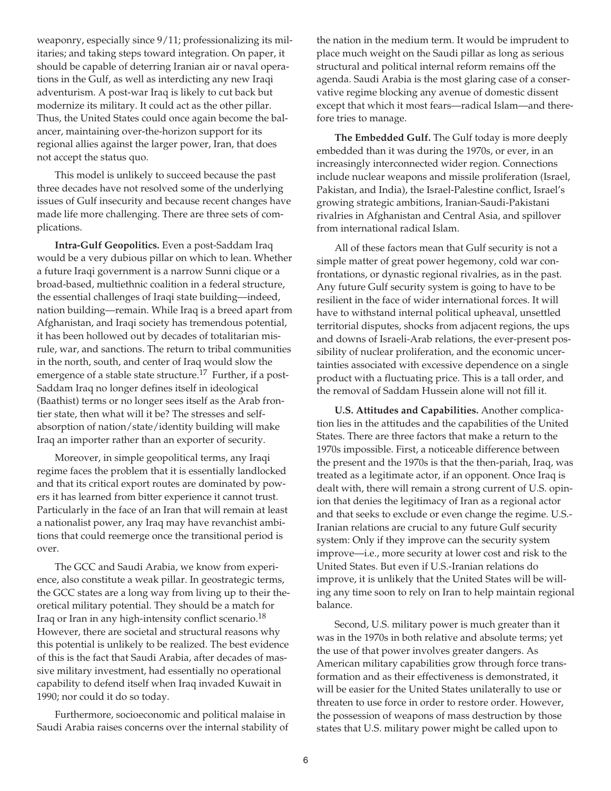weaponry, especially since 9/11; professionalizing its militaries; and taking steps toward integration. On paper, it should be capable of deterring Iranian air or naval operations in the Gulf, as well as interdicting any new Iraqi adventurism. A post-war Iraq is likely to cut back but modernize its military. It could act as the other pillar. Thus, the United States could once again become the balancer, maintaining over-the-horizon support for its regional allies against the larger power, Iran, that does not accept the status quo.

This model is unlikely to succeed because the past three decades have not resolved some of the underlying issues of Gulf insecurity and because recent changes have made life more challenging. There are three sets of complications.

**Intra-Gulf Geopolitics.** Even a post-Saddam Iraq would be a very dubious pillar on which to lean. Whether a future Iraqi government is a narrow Sunni clique or a broad-based, multiethnic coalition in a federal structure, the essential challenges of Iraqi state building—indeed, nation building—remain. While Iraq is a breed apart from Afghanistan, and Iraqi society has tremendous potential, it has been hollowed out by decades of totalitarian misrule, war, and sanctions. The return to tribal communities in the north, south, and center of Iraq would slow the emergence of a stable state structure.<sup>17</sup> Further, if a post-Saddam Iraq no longer defines itself in ideological (Baathist) terms or no longer sees itself as the Arab frontier state, then what will it be? The stresses and selfabsorption of nation/state/identity building will make Iraq an importer rather than an exporter of security.

Moreover, in simple geopolitical terms, any Iraqi regime faces the problem that it is essentially landlocked and that its critical export routes are dominated by powers it has learned from bitter experience it cannot trust. Particularly in the face of an Iran that will remain at least a nationalist power, any Iraq may have revanchist ambitions that could reemerge once the transitional period is over.

The GCC and Saudi Arabia, we know from experience, also constitute a weak pillar. In geostrategic terms, the GCC states are a long way from living up to their theoretical military potential. They should be a match for Iraq or Iran in any high-intensity conflict scenario.18 However, there are societal and structural reasons why this potential is unlikely to be realized. The best evidence of this is the fact that Saudi Arabia, after decades of massive military investment, had essentially no operational capability to defend itself when Iraq invaded Kuwait in 1990; nor could it do so today.

Furthermore, socioeconomic and political malaise in Saudi Arabia raises concerns over the internal stability of

the nation in the medium term. It would be imprudent to place much weight on the Saudi pillar as long as serious structural and political internal reform remains off the agenda. Saudi Arabia is the most glaring case of a conservative regime blocking any avenue of domestic dissent except that which it most fears—radical Islam—and therefore tries to manage.

**The Embedded Gulf.** The Gulf today is more deeply embedded than it was during the 1970s, or ever, in an increasingly interconnected wider region. Connections include nuclear weapons and missile proliferation (Israel, Pakistan, and India), the Israel-Palestine conflict, Israel's growing strategic ambitions, Iranian-Saudi-Pakistani rivalries in Afghanistan and Central Asia, and spillover from international radical Islam.

All of these factors mean that Gulf security is not a simple matter of great power hegemony, cold war confrontations, or dynastic regional rivalries, as in the past. Any future Gulf security system is going to have to be resilient in the face of wider international forces. It will have to withstand internal political upheaval, unsettled territorial disputes, shocks from adjacent regions, the ups and downs of Israeli-Arab relations, the ever-present possibility of nuclear proliferation, and the economic uncertainties associated with excessive dependence on a single product with a fluctuating price. This is a tall order, and the removal of Saddam Hussein alone will not fill it.

**U.S. Attitudes and Capabilities.** Another complication lies in the attitudes and the capabilities of the United States. There are three factors that make a return to the 1970s impossible. First, a noticeable difference between the present and the 1970s is that the then-pariah, Iraq, was treated as a legitimate actor, if an opponent. Once Iraq is dealt with, there will remain a strong current of U.S. opinion that denies the legitimacy of Iran as a regional actor and that seeks to exclude or even change the regime. U.S.- Iranian relations are crucial to any future Gulf security system: Only if they improve can the security system improve—i.e., more security at lower cost and risk to the United States. But even if U.S.-Iranian relations do improve, it is unlikely that the United States will be willing any time soon to rely on Iran to help maintain regional balance.

Second, U.S. military power is much greater than it was in the 1970s in both relative and absolute terms; yet the use of that power involves greater dangers. As American military capabilities grow through force transformation and as their effectiveness is demonstrated, it will be easier for the United States unilaterally to use or threaten to use force in order to restore order. However, the possession of weapons of mass destruction by those states that U.S. military power might be called upon to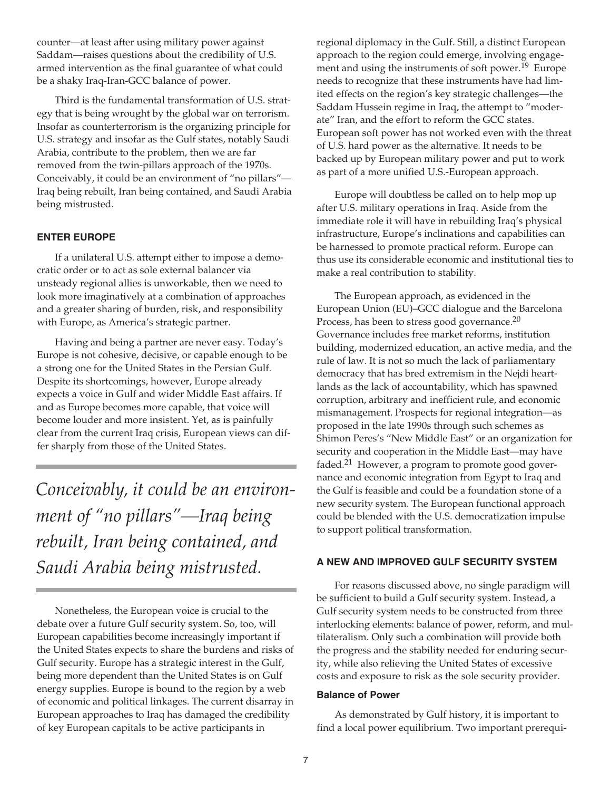counter—at least after using military power against Saddam—raises questions about the credibility of U.S. armed intervention as the final guarantee of what could be a shaky Iraq-Iran-GCC balance of power.

Third is the fundamental transformation of U.S. strategy that is being wrought by the global war on terrorism. Insofar as counterterrorism is the organizing principle for U.S. strategy and insofar as the Gulf states, notably Saudi Arabia, contribute to the problem, then we are far removed from the twin-pillars approach of the 1970s. Conceivably, it could be an environment of "no pillars"— Iraq being rebuilt, Iran being contained, and Saudi Arabia being mistrusted.

# **ENTER EUROPE**

If a unilateral U.S. attempt either to impose a democratic order or to act as sole external balancer via unsteady regional allies is unworkable, then we need to look more imaginatively at a combination of approaches and a greater sharing of burden, risk, and responsibility with Europe, as America's strategic partner.

Having and being a partner are never easy. Today's Europe is not cohesive, decisive, or capable enough to be a strong one for the United States in the Persian Gulf. Despite its shortcomings, however, Europe already expects a voice in Gulf and wider Middle East affairs. If and as Europe becomes more capable, that voice will become louder and more insistent. Yet, as is painfully clear from the current Iraq crisis, European views can differ sharply from those of the United States.

*Conceivably, it could be an environment of "no pillars"—Iraq being rebuilt, Iran being contained, and Saudi Arabia being mistrusted.* 

Nonetheless, the European voice is crucial to the debate over a future Gulf security system. So, too, will European capabilities become increasingly important if the United States expects to share the burdens and risks of Gulf security. Europe has a strategic interest in the Gulf, being more dependent than the United States is on Gulf energy supplies. Europe is bound to the region by a web of economic and political linkages. The current disarray in European approaches to Iraq has damaged the credibility of key European capitals to be active participants in

regional diplomacy in the Gulf. Still, a distinct European approach to the region could emerge, involving engagement and using the instruments of soft power.<sup>19</sup> Europe needs to recognize that these instruments have had limited effects on the region's key strategic challenges—the Saddam Hussein regime in Iraq, the attempt to "moderate" Iran, and the effort to reform the GCC states. European soft power has not worked even with the threat of U.S. hard power as the alternative. It needs to be backed up by European military power and put to work as part of a more unified U.S.-European approach.

Europe will doubtless be called on to help mop up after U.S. military operations in Iraq. Aside from the immediate role it will have in rebuilding Iraq's physical infrastructure, Europe's inclinations and capabilities can be harnessed to promote practical reform. Europe can thus use its considerable economic and institutional ties to make a real contribution to stability.

The European approach, as evidenced in the European Union (EU)–GCC dialogue and the Barcelona Process, has been to stress good governance.<sup>20</sup> Governance includes free market reforms, institution building, modernized education, an active media, and the rule of law. It is not so much the lack of parliamentary democracy that has bred extremism in the Nejdi heartlands as the lack of accountability, which has spawned corruption, arbitrary and inefficient rule, and economic mismanagement. Prospects for regional integration—as proposed in the late 1990s through such schemes as Shimon Peres's "New Middle East" or an organization for security and cooperation in the Middle East—may have faded.<sup>21</sup> However, a program to promote good governance and economic integration from Egypt to Iraq and the Gulf is feasible and could be a foundation stone of a new security system. The European functional approach could be blended with the U.S. democratization impulse to support political transformation.

## **A NEW AND IMPROVED GULF SECURITY SYSTEM**

For reasons discussed above, no single paradigm will be sufficient to build a Gulf security system. Instead, a Gulf security system needs to be constructed from three interlocking elements: balance of power, reform, and multilateralism. Only such a combination will provide both the progress and the stability needed for enduring security, while also relieving the United States of excessive costs and exposure to risk as the sole security provider.

#### **Balance of Power**

As demonstrated by Gulf history, it is important to find a local power equilibrium. Two important prerequi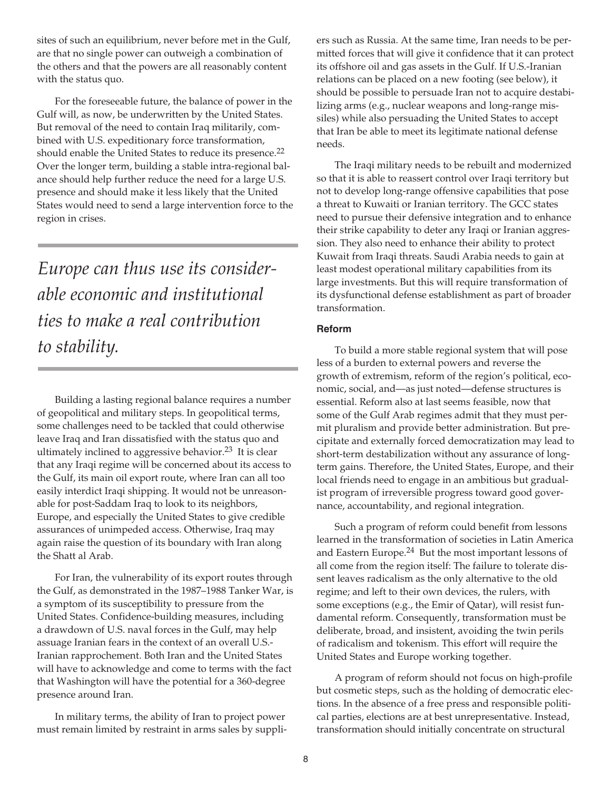sites of such an equilibrium, never before met in the Gulf, are that no single power can outweigh a combination of the others and that the powers are all reasonably content with the status quo.

For the foreseeable future, the balance of power in the Gulf will, as now, be underwritten by the United States. But removal of the need to contain Iraq militarily, combined with U.S. expeditionary force transformation, should enable the United States to reduce its presence.<sup>22</sup> Over the longer term, building a stable intra-regional balance should help further reduce the need for a large U.S. presence and should make it less likely that the United States would need to send a large intervention force to the region in crises.

*Europe can thus use its considerable economic and institutional ties to make a real contribution to stability.* 

Building a lasting regional balance requires a number of geopolitical and military steps. In geopolitical terms, some challenges need to be tackled that could otherwise leave Iraq and Iran dissatisfied with the status quo and ultimately inclined to aggressive behavior.<sup>23</sup> It is clear that any Iraqi regime will be concerned about its access to the Gulf, its main oil export route, where Iran can all too easily interdict Iraqi shipping. It would not be unreasonable for post-Saddam Iraq to look to its neighbors, Europe, and especially the United States to give credible assurances of unimpeded access. Otherwise, Iraq may again raise the question of its boundary with Iran along the Shatt al Arab.

For Iran, the vulnerability of its export routes through the Gulf, as demonstrated in the 1987–1988 Tanker War, is a symptom of its susceptibility to pressure from the United States. Confidence-building measures, including a drawdown of U.S. naval forces in the Gulf, may help assuage Iranian fears in the context of an overall U.S.- Iranian rapprochement. Both Iran and the United States will have to acknowledge and come to terms with the fact that Washington will have the potential for a 360-degree presence around Iran.

In military terms, the ability of Iran to project power must remain limited by restraint in arms sales by suppliers such as Russia. At the same time, Iran needs to be permitted forces that will give it confidence that it can protect its offshore oil and gas assets in the Gulf. If U.S.-Iranian relations can be placed on a new footing (see below), it should be possible to persuade Iran not to acquire destabilizing arms (e.g., nuclear weapons and long-range missiles) while also persuading the United States to accept that Iran be able to meet its legitimate national defense needs.

The Iraqi military needs to be rebuilt and modernized so that it is able to reassert control over Iraqi territory but not to develop long-range offensive capabilities that pose a threat to Kuwaiti or Iranian territory. The GCC states need to pursue their defensive integration and to enhance their strike capability to deter any Iraqi or Iranian aggression. They also need to enhance their ability to protect Kuwait from Iraqi threats. Saudi Arabia needs to gain at least modest operational military capabilities from its large investments. But this will require transformation of its dysfunctional defense establishment as part of broader transformation.

# **Reform**

To build a more stable regional system that will pose less of a burden to external powers and reverse the growth of extremism, reform of the region's political, economic, social, and—as just noted—defense structures is essential. Reform also at last seems feasible, now that some of the Gulf Arab regimes admit that they must permit pluralism and provide better administration. But precipitate and externally forced democratization may lead to short-term destabilization without any assurance of longterm gains. Therefore, the United States, Europe, and their local friends need to engage in an ambitious but gradualist program of irreversible progress toward good governance, accountability, and regional integration.

Such a program of reform could benefit from lessons learned in the transformation of societies in Latin America and Eastern Europe.24 But the most important lessons of all come from the region itself: The failure to tolerate dissent leaves radicalism as the only alternative to the old regime; and left to their own devices, the rulers, with some exceptions (e.g., the Emir of Qatar), will resist fundamental reform. Consequently, transformation must be deliberate, broad, and insistent, avoiding the twin perils of radicalism and tokenism. This effort will require the United States and Europe working together.

A program of reform should not focus on high-profile but cosmetic steps, such as the holding of democratic elections. In the absence of a free press and responsible political parties, elections are at best unrepresentative. Instead, transformation should initially concentrate on structural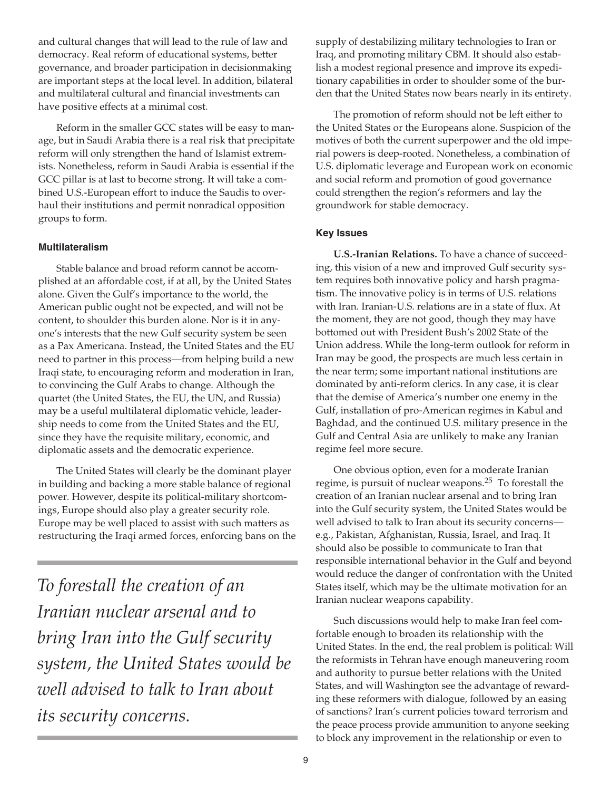and cultural changes that will lead to the rule of law and democracy. Real reform of educational systems, better governance, and broader participation in decisionmaking are important steps at the local level. In addition, bilateral and multilateral cultural and financial investments can have positive effects at a minimal cost.

Reform in the smaller GCC states will be easy to manage, but in Saudi Arabia there is a real risk that precipitate reform will only strengthen the hand of Islamist extremists. Nonetheless, reform in Saudi Arabia is essential if the GCC pillar is at last to become strong. It will take a combined U.S.-European effort to induce the Saudis to overhaul their institutions and permit nonradical opposition groups to form.

# **Multilateralism**

Stable balance and broad reform cannot be accomplished at an affordable cost, if at all, by the United States alone. Given the Gulf's importance to the world, the American public ought not be expected, and will not be content, to shoulder this burden alone. Nor is it in anyone's interests that the new Gulf security system be seen as a Pax Americana. Instead, the United States and the EU need to partner in this process—from helping build a new Iraqi state, to encouraging reform and moderation in Iran, to convincing the Gulf Arabs to change. Although the quartet (the United States, the EU, the UN, and Russia) may be a useful multilateral diplomatic vehicle, leadership needs to come from the United States and the EU, since they have the requisite military, economic, and diplomatic assets and the democratic experience.

The United States will clearly be the dominant player in building and backing a more stable balance of regional power. However, despite its political-military shortcomings, Europe should also play a greater security role. Europe may be well placed to assist with such matters as restructuring the Iraqi armed forces, enforcing bans on the

*To forestall the creation of an Iranian nuclear arsenal and to bring Iran into the Gulf security system, the United States would be well advised to talk to Iran about its security concerns.* 

supply of destabilizing military technologies to Iran or Iraq, and promoting military CBM. It should also establish a modest regional presence and improve its expeditionary capabilities in order to shoulder some of the burden that the United States now bears nearly in its entirety.

The promotion of reform should not be left either to the United States or the Europeans alone. Suspicion of the motives of both the current superpower and the old imperial powers is deep-rooted. Nonetheless, a combination of U.S. diplomatic leverage and European work on economic and social reform and promotion of good governance could strengthen the region's reformers and lay the groundwork for stable democracy.

# **Key Issues**

**U.S.-Iranian Relations.** To have a chance of succeeding, this vision of a new and improved Gulf security system requires both innovative policy and harsh pragmatism. The innovative policy is in terms of U.S. relations with Iran. Iranian-U.S. relations are in a state of flux. At the moment, they are not good, though they may have bottomed out with President Bush's 2002 State of the Union address. While the long-term outlook for reform in Iran may be good, the prospects are much less certain in the near term; some important national institutions are dominated by anti-reform clerics. In any case, it is clear that the demise of America's number one enemy in the Gulf, installation of pro-American regimes in Kabul and Baghdad, and the continued U.S. military presence in the Gulf and Central Asia are unlikely to make any Iranian regime feel more secure.

One obvious option, even for a moderate Iranian regime, is pursuit of nuclear weapons.25 To forestall the creation of an Iranian nuclear arsenal and to bring Iran into the Gulf security system, the United States would be well advised to talk to Iran about its security concerns e.g., Pakistan, Afghanistan, Russia, Israel, and Iraq. It should also be possible to communicate to Iran that responsible international behavior in the Gulf and beyond would reduce the danger of confrontation with the United States itself, which may be the ultimate motivation for an Iranian nuclear weapons capability.

Such discussions would help to make Iran feel comfortable enough to broaden its relationship with the United States. In the end, the real problem is political: Will the reformists in Tehran have enough maneuvering room and authority to pursue better relations with the United States, and will Washington see the advantage of rewarding these reformers with dialogue, followed by an easing of sanctions? Iran's current policies toward terrorism and the peace process provide ammunition to anyone seeking to block any improvement in the relationship or even to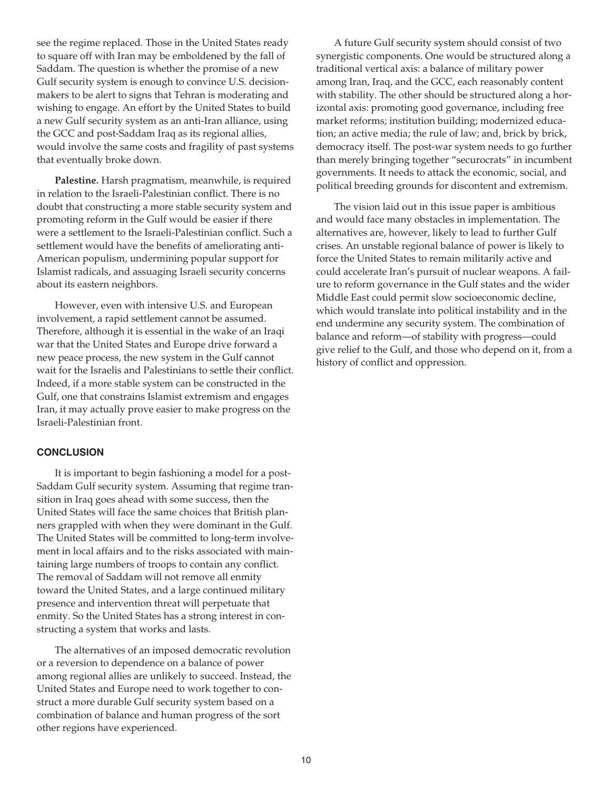see the regime replaced. Those in the United States ready to square off with Iran may be emboldened by the fall of Saddam. The question is whether the promise of a new Gulf security system is enough to convince U.S. decisionmakers to be alert to signs that Tehran is moderating and wishing to engage. An effort by the United States to build a new Gulf security system as an anti-Iran alliance, using the GCC and post-Saddam Iraq as its regional allies, would involve the same costs and fragility of past systems that eventually broke down.

**Palestine.** Harsh pragmatism, meanwhile, is required in relation to the Israeli-Palestinian conflict. There is no doubt that constructing a more stable security system and promoting reform in the Gulf would be easier if there were a settlement to the Israeli-Palestinian conflict. Such a settlement would have the benefits of ameliorating anti-American populism, undermining popular support for Islamist radicals, and assuaging Israeli security concerns about its eastern neighbors.

However, even with intensive U.S. and European involvement, a rapid settlement cannot be assumed. Therefore, although it is essential in the wake of an Iraqi war that the United States and Europe drive forward a new peace process, the new system in the Gulf cannot wait for the Israelis and Palestinians to settle their conflict. Indeed, if a more stable system can be constructed in the Gulf, one that constrains Islamist extremism and engages Iran, it may actually prove easier to make progress on the Israeli-Palestinian front.

## **CONCLUSION**

It is important to begin fashioning a model for a post-Saddam Gulf security system. Assuming that regime transition in Iraq goes ahead with some success, then the United States will face the same choices that British planners grappled with when they were dominant in the Gulf. The United States will be committed to long-term involvement in local affairs and to the risks associated with maintaining large numbers of troops to contain any conflict. The removal of Saddam will not remove all enmity toward the United States, and a large continued military presence and intervention threat will perpetuate that enmity. So the United States has a strong interest in constructing a system that works and lasts.

The alternatives of an imposed democratic revolution or a reversion to dependence on a balance of power among regional allies are unlikely to succeed. Instead, the United States and Europe need to work together to construct a more durable Gulf security system based on a combination of balance and human progress of the sort other regions have experienced.

A future Gulf security system should consist of two synergistic components. One would be structured along a traditional vertical axis: a balance of military power among Iran, Iraq, and the GCC, each reasonably content with stability. The other should be structured along a horizontal axis: promoting good governance, including free market reforms; institution building; modernized education; an active media; the rule of law; and, brick by brick, democracy itself. The post-war system needs to go further than merely bringing together "securocrats" in incumbent governments. It needs to attack the economic, social, and political breeding grounds for discontent and extremism.

The vision laid out in this issue paper is ambitious and would face many obstacles in implementation. The alternatives are, however, likely to lead to further Gulf crises. An unstable regional balance of power is likely to force the United States to remain militarily active and could accelerate Iran's pursuit of nuclear weapons. A failure to reform governance in the Gulf states and the wider Middle East could permit slow socioeconomic decline, which would translate into political instability and in the end undermine any security system. The combination of balance and reform—of stability with progress—could give relief to the Gulf, and those who depend on it, from a history of conflict and oppression.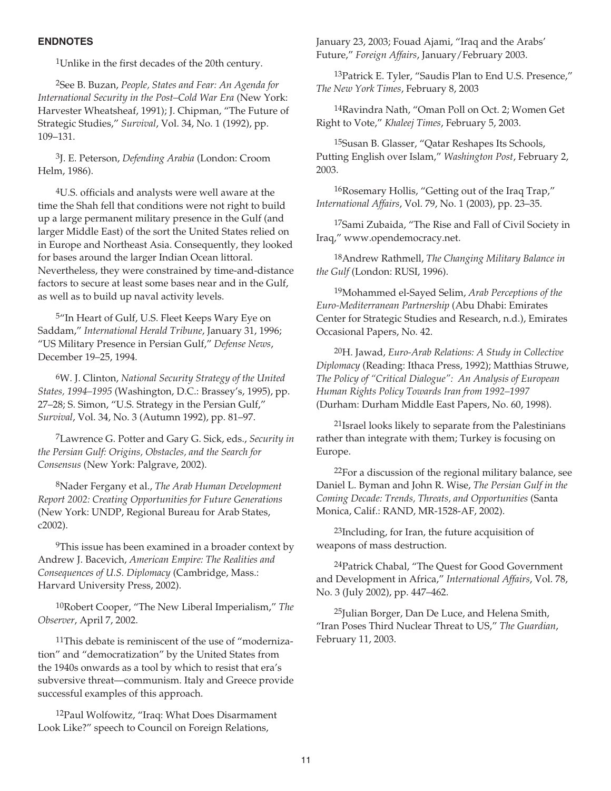#### **ENDNOTES**

1Unlike in the first decades of the 20th century.

2See B. Buzan, *People, States and Fear: An Agenda for International Security in the Post–Cold War Era* (New York: Harvester Wheatsheaf, 1991); J. Chipman, "The Future of Strategic Studies," *Survival*, Vol. 34, No. 1 (1992), pp. 109–131.

3J. E. Peterson, *Defending Arabia* (London: Croom Helm, 1986).

4U.S. officials and analysts were well aware at the time the Shah fell that conditions were not right to build up a large permanent military presence in the Gulf (and larger Middle East) of the sort the United States relied on in Europe and Northeast Asia. Consequently, they looked for bases around the larger Indian Ocean littoral. Nevertheless, they were constrained by time-and-distance factors to secure at least some bases near and in the Gulf, as well as to build up naval activity levels.

5"In Heart of Gulf, U.S. Fleet Keeps Wary Eye on Saddam," *International Herald Tribune*, January 31, 1996; "US Military Presence in Persian Gulf," *Defense News*, December 19–25, 1994.

6W. J. Clinton, *National Security Strategy of the United States, 1994–1995* (Washington, D.C.: Brassey's, 1995), pp. 27–28; S. Simon, "U.S. Strategy in the Persian Gulf," *Survival*, Vol. 34, No. 3 (Autumn 1992), pp. 81–97.

7Lawrence G. Potter and Gary G. Sick, eds., *Security in the Persian Gulf: Origins, Obstacles, and the Search for Consensus* (New York: Palgrave, 2002).

8Nader Fergany et al., *The Arab Human Development Report 2002: Creating Opportunities for Future Generations* (New York: UNDP, Regional Bureau for Arab States, c2002).

9This issue has been examined in a broader context by Andrew J. Bacevich, *American Empire: The Realities and Consequences of U.S. Diplomacy* (Cambridge, Mass.: Harvard University Press, 2002).

10Robert Cooper, "The New Liberal Imperialism," *The Observer*, April 7, 2002.

11This debate is reminiscent of the use of "modernization" and "democratization" by the United States from the 1940s onwards as a tool by which to resist that era's subversive threat—communism. Italy and Greece provide successful examples of this approach.

12Paul Wolfowitz, "Iraq: What Does Disarmament Look Like?" speech to Council on Foreign Relations,

January 23, 2003; Fouad Ajami, "Iraq and the Arabs' Future," *Foreign Affairs*, January/February 2003.

13Patrick E. Tyler, "Saudis Plan to End U.S. Presence," *The New York Times*, February 8, 2003

14Ravindra Nath, "Oman Poll on Oct. 2; Women Get Right to Vote," *Khaleej Times*, February 5, 2003.

15Susan B. Glasser, "Qatar Reshapes Its Schools, Putting English over Islam," *Washington Post*, February 2, 2003.

16Rosemary Hollis, "Getting out of the Iraq Trap," *International Affairs*, Vol. 79, No. 1 (2003), pp. 23–35.

17Sami Zubaida, "The Rise and Fall of Civil Society in Iraq," www.opendemocracy.net.

18Andrew Rathmell, *The Changing Military Balance in the Gulf* (London: RUSI, 1996).

19Mohammed el-Sayed Selim, *Arab Perceptions of the Euro-Mediterranean Partnership* (Abu Dhabi: Emirates Center for Strategic Studies and Research, n.d.), Emirates Occasional Papers, No. 42.

20H. Jawad, *Euro-Arab Relations: A Study in Collective Diplomacy* (Reading: Ithaca Press, 1992); Matthias Struwe, *The Policy of "Critical Dialogue": An Analysis of European Human Rights Policy Towards Iran from 1992–1997* (Durham: Durham Middle East Papers, No. 60, 1998).

21Israel looks likely to separate from the Palestinians rather than integrate with them; Turkey is focusing on Europe.

22For a discussion of the regional military balance, see Daniel L. Byman and John R. Wise, *The Persian Gulf in the Coming Decade: Trends, Threats, and Opportunities* (Santa Monica, Calif.: RAND, MR-1528-AF, 2002).

23Including, for Iran, the future acquisition of weapons of mass destruction.

24Patrick Chabal, "The Quest for Good Government and Development in Africa," *International Affairs*, Vol. 78, No. 3 (July 2002), pp. 447–462.

25Julian Borger, Dan De Luce, and Helena Smith, "Iran Poses Third Nuclear Threat to US," *The Guardian*, February 11, 2003.